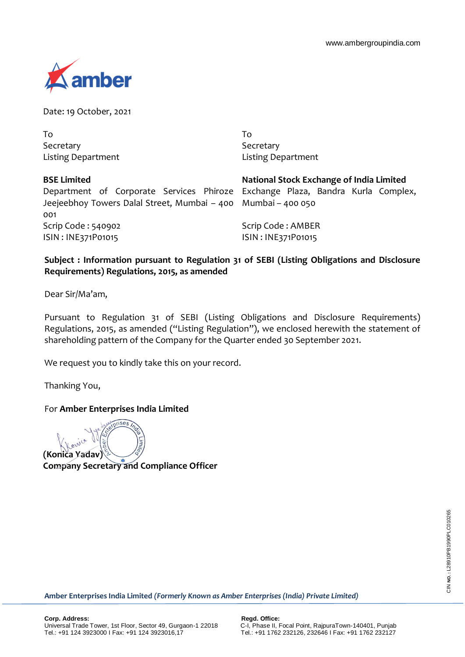

Date: 19 October, 2021

To Secretary Listing Department To Secretary Listing Department

| <b>BSE Limited</b>                                                             | National Stock Exchange of India Limited |
|--------------------------------------------------------------------------------|------------------------------------------|
| Department of Corporate Services Phiroze Exchange Plaza, Bandra Kurla Complex, |                                          |
| Jeejeebhoy Towers Dalal Street, Mumbai – 400 Mumbai – 400 050                  |                                          |
| 001                                                                            |                                          |
| Scrip Code : 540902                                                            | Scrip Code: AMBER                        |
| ISIN: INE371P01015                                                             | ISIN: INE371P01015                       |

# **Subject : Information pursuant to Regulation 31 of SEBI (Listing Obligations and Disclosure Requirements) Regulations, 2015, as amended**

Dear Sir/Ma'am,

Pursuant to Regulation 31 of SEBI (Listing Obligations and Disclosure Requirements) Regulations, 2015, as amended ("Listing Regulation"), we enclosed herewith the statement of shareholding pattern of the Company for the Quarter ended 30 September 2021.

We request you to kindly take this on your record.

Thanking You,

## For **Amber Enterprises India Limited**

ises **(Konica Yadav) Company Secretary and Compliance Officer**

**Amber Enterprises India Limited** *(Formerly Known as Amber Enterprises (India) Private Limited)*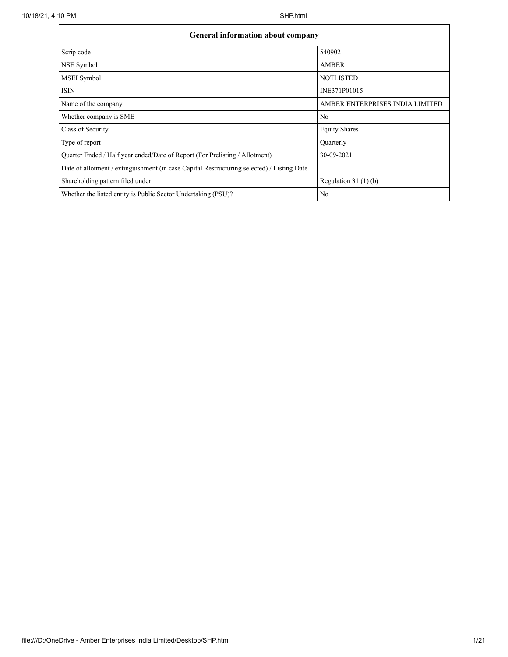| <b>General information about company</b>                                                   |                                 |
|--------------------------------------------------------------------------------------------|---------------------------------|
| Scrip code                                                                                 | 540902                          |
| NSE Symbol                                                                                 | <b>AMBER</b>                    |
| MSEI Symbol                                                                                | <b>NOTLISTED</b>                |
| <b>ISIN</b>                                                                                | INE371P01015                    |
| Name of the company                                                                        | AMBER ENTERPRISES INDIA LIMITED |
| Whether company is SME                                                                     | No                              |
| Class of Security                                                                          | <b>Equity Shares</b>            |
| Type of report                                                                             | Quarterly                       |
| Quarter Ended / Half year ended/Date of Report (For Prelisting / Allotment)                | 30-09-2021                      |
| Date of allotment / extinguishment (in case Capital Restructuring selected) / Listing Date |                                 |
| Shareholding pattern filed under                                                           | Regulation $31(1)(b)$           |
| Whether the listed entity is Public Sector Undertaking (PSU)?                              | No                              |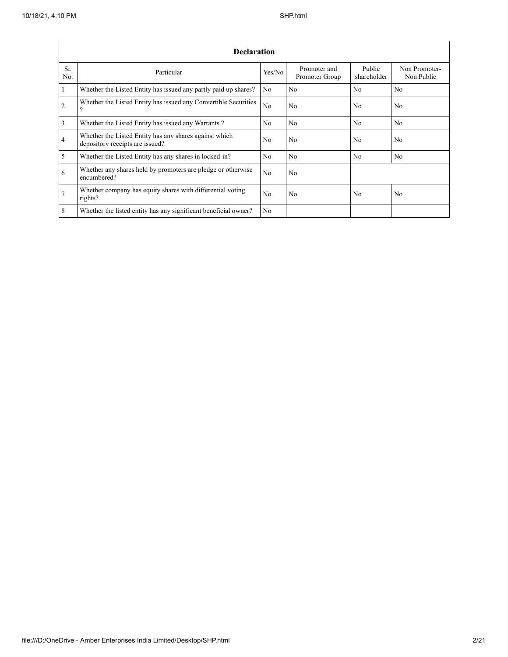|                 | <b>Declaration</b>                                                                        |                |                                |                       |                             |
|-----------------|-------------------------------------------------------------------------------------------|----------------|--------------------------------|-----------------------|-----------------------------|
| Sr.<br>No.      | Particular                                                                                | Yes/No         | Promoter and<br>Promoter Group | Public<br>shareholder | Non Promoter-<br>Non Public |
| $\overline{1}$  | Whether the Listed Entity has issued any partly paid up shares?                           | No             | No                             | N <sub>0</sub>        | No                          |
| $\overline{2}$  | Whether the Listed Entity has issued any Convertible Securities<br>9                      | N <sub>0</sub> | No.                            | N <sub>0</sub>        | N <sub>0</sub>              |
| $\overline{3}$  | Whether the Listed Entity has issued any Warrants?                                        | No             | No                             | No                    | N <sub>o</sub>              |
| $\overline{4}$  | Whether the Listed Entity has any shares against which<br>depository receipts are issued? | No             | No                             | N <sub>0</sub>        | No                          |
| $\overline{5}$  | Whether the Listed Entity has any shares in locked-in?                                    | No             | No                             | No                    | No                          |
| 6               | Whether any shares held by promoters are pledge or otherwise<br>encumbered?               | No             | No                             |                       |                             |
| $\overline{7}$  | Whether company has equity shares with differential voting<br>rights?                     | N <sub>0</sub> | No                             | N <sub>0</sub>        | No                          |
| $8\phantom{.}8$ | Whether the listed entity has any significant beneficial owner?                           | No             |                                |                       |                             |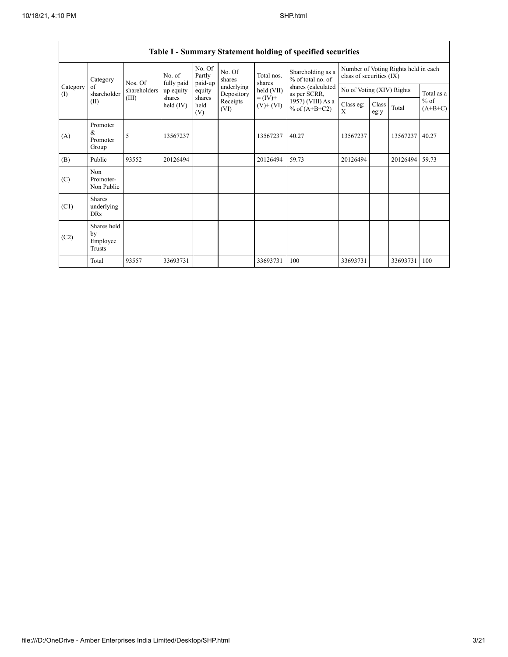|                 |                                         |              |                      | $v$ <i>ummun</i> ,          |                          |                              |                                        |                           |               |                                      |                     |
|-----------------|-----------------------------------------|--------------|----------------------|-----------------------------|--------------------------|------------------------------|----------------------------------------|---------------------------|---------------|--------------------------------------|---------------------|
| Category        |                                         | Nos. Of      | No. of<br>fully paid | No. Of<br>Partly<br>paid-up | No. Of<br>shares         | Total nos.<br>shares         | Shareholding as a<br>% of total no. of | class of securities (IX)  |               | Number of Voting Rights held in each |                     |
| Category<br>(I) | of<br>shareholder                       | shareholders | up equity            | equity                      | underlying<br>Depository | held (VII)                   | shares (calculated<br>as per SCRR,     | No of Voting (XIV) Rights |               |                                      | Total as a          |
|                 | (II)                                    | (III)        | shares<br>held (IV)  | shares<br>held<br>(V)       | Receipts<br>(VI)         | $= (IV) +$<br>$(V)$ + $(VI)$ | 1957) (VIII) As a<br>% of $(A+B+C2)$   | Class eg:<br>X            | Class<br>eg:y | Total                                | $%$ of<br>$(A+B+C)$ |
| (A)             | Promoter<br>&<br>Promoter<br>Group      | 5            | 13567237             |                             |                          | 13567237                     | 40.27                                  | 13567237                  |               | 13567237                             | 40.27               |
| (B)             | Public                                  | 93552        | 20126494             |                             |                          | 20126494                     | 59.73                                  | 20126494                  |               | 20126494                             | 59.73               |
| (C)             | Non<br>Promoter-<br>Non Public          |              |                      |                             |                          |                              |                                        |                           |               |                                      |                     |
| (C1)            | <b>Shares</b><br>underlying<br>DRs      |              |                      |                             |                          |                              |                                        |                           |               |                                      |                     |
| (C2)            | Shares held<br>by<br>Employee<br>Trusts |              |                      |                             |                          |                              |                                        |                           |               |                                      |                     |
|                 | Total                                   | 93557        | 33693731             |                             |                          | 33693731                     | 100                                    | 33693731                  |               | 33693731                             | 100                 |

## **Table I - Summary Statement holding of specified securities**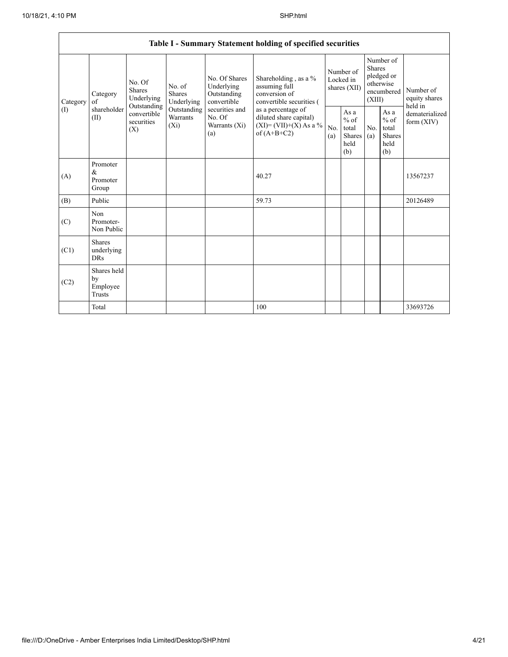$\mathsf{r}$ 

|                |                                                                  |                                       |                                                           |                                                                                    | Table I - Summary Statement holding of specified securities                              |            |                                                                               |                                                      |                                       |                                |
|----------------|------------------------------------------------------------------|---------------------------------------|-----------------------------------------------------------|------------------------------------------------------------------------------------|------------------------------------------------------------------------------------------|------------|-------------------------------------------------------------------------------|------------------------------------------------------|---------------------------------------|--------------------------------|
| Category<br>of | No. Of<br><b>Shares</b><br>Category<br>Underlying<br>Outstanding | No. of<br><b>Shares</b><br>Underlying | No. Of Shares<br>Underlying<br>Outstanding<br>convertible | Shareholding, as a %<br>assuming full<br>conversion of<br>convertible securities ( | Number of<br>Locked in<br>shares (XII)                                                   |            | Number of<br><b>Shares</b><br>pledged or<br>otherwise<br>encumbered<br>(XIII) |                                                      | Number of<br>equity shares<br>held in |                                |
| (I)            | shareholder<br>(II)                                              | convertible<br>securities<br>(X)      | Outstanding<br>Warrants<br>$(X_i)$                        | securities and<br>No. Of<br>Warrants (Xi)<br>(a)                                   | as a percentage of<br>diluted share capital)<br>$(XI)=(VII)+(X) As a %$<br>of $(A+B+C2)$ | No.<br>(a) | As a<br>$%$ of<br>total<br>Shares<br>held<br>(b)                              | As a<br>$%$ of<br>total<br>No.<br>(a)<br>held<br>(b) | Shares                                | dematerialized<br>form $(XIV)$ |
| (A)            | Promoter<br>$\&$<br>Promoter<br>Group                            |                                       |                                                           |                                                                                    | 40.27                                                                                    |            |                                                                               |                                                      |                                       | 13567237                       |
| (B)            | Public                                                           |                                       |                                                           |                                                                                    | 59.73                                                                                    |            |                                                                               |                                                      |                                       | 20126489                       |
| (C)            | Non<br>Promoter-<br>Non Public                                   |                                       |                                                           |                                                                                    |                                                                                          |            |                                                                               |                                                      |                                       |                                |
| (C1)           | <b>Shares</b><br>underlying<br><b>DRs</b>                        |                                       |                                                           |                                                                                    |                                                                                          |            |                                                                               |                                                      |                                       |                                |
| (C2)           | Shares held<br>by<br>Employee<br>Trusts                          |                                       |                                                           |                                                                                    |                                                                                          |            |                                                                               |                                                      |                                       |                                |
|                | Total                                                            |                                       |                                                           |                                                                                    | 100                                                                                      |            |                                                                               |                                                      |                                       | 33693726                       |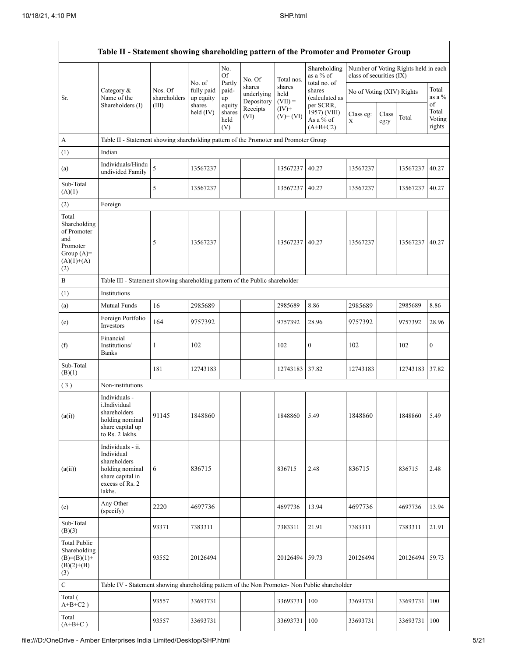|                                                                                                | Table II - Statement showing shareholding pattern of the Promoter and Promoter Group                                |                                  |                                   |                       |                                    |                             |                                           |                           |               |                                      |                           |
|------------------------------------------------------------------------------------------------|---------------------------------------------------------------------------------------------------------------------|----------------------------------|-----------------------------------|-----------------------|------------------------------------|-----------------------------|-------------------------------------------|---------------------------|---------------|--------------------------------------|---------------------------|
|                                                                                                |                                                                                                                     |                                  | No. of                            | No.<br>Of<br>Partly   | No. Of                             | Total nos.                  | Shareholding<br>as a % of<br>total no. of | class of securities (IX)  |               | Number of Voting Rights held in each |                           |
| Sr.                                                                                            | Category &<br>Name of the<br>Shareholders (I)                                                                       | Nos. Of<br>shareholders<br>(III) | fully paid<br>up equity<br>shares | paid-<br>up<br>equity | shares<br>underlying<br>Depository | shares<br>held<br>$(VII) =$ | shares<br>(calculated as<br>per SCRR,     | No of Voting (XIV) Rights |               |                                      | Total<br>as a %<br>of     |
|                                                                                                |                                                                                                                     |                                  | held (IV)                         | shares<br>held<br>(V) | Receipts<br>(VI)                   | $(IV)$ +<br>$(V)+(VI)$      | 1957) (VIII)<br>As a % of<br>$(A+B+C2)$   | Class eg:<br>X            | Class<br>eg:y | Total                                | Total<br>Voting<br>rights |
| A                                                                                              | Table II - Statement showing shareholding pattern of the Promoter and Promoter Group                                |                                  |                                   |                       |                                    |                             |                                           |                           |               |                                      |                           |
| (1)                                                                                            | Indian                                                                                                              |                                  |                                   |                       |                                    |                             |                                           |                           |               |                                      |                           |
| (a)                                                                                            | Individuals/Hindu<br>undivided Family                                                                               | 5                                | 13567237                          |                       |                                    | 13567237                    | 40.27                                     | 13567237                  |               | 13567237                             | 40.27                     |
| Sub-Total<br>(A)(1)                                                                            |                                                                                                                     | 5                                | 13567237                          |                       |                                    | 13567237                    | 40.27                                     | 13567237                  |               | 13567237 40.27                       |                           |
| (2)                                                                                            | Foreign                                                                                                             |                                  |                                   |                       |                                    |                             |                                           |                           |               |                                      |                           |
| Total<br>Shareholding<br>of Promoter<br>and<br>Promoter<br>Group $(A)=$<br>$(A)(1)+(A)$<br>(2) |                                                                                                                     | 5                                | 13567237                          |                       |                                    | 13567237                    | 40.27                                     | 13567237                  |               | 13567237                             | 40.27                     |
| B                                                                                              | Table III - Statement showing shareholding pattern of the Public shareholder                                        |                                  |                                   |                       |                                    |                             |                                           |                           |               |                                      |                           |
| (1)                                                                                            | Institutions                                                                                                        |                                  |                                   |                       |                                    |                             |                                           |                           |               |                                      |                           |
| (a)                                                                                            | Mutual Funds                                                                                                        | 16                               | 2985689                           |                       |                                    | 2985689                     | 8.86                                      | 2985689                   |               | 2985689                              | 8.86                      |
| (e)                                                                                            | Foreign Portfolio<br>Investors                                                                                      | 164                              | 9757392                           |                       |                                    | 9757392                     | 28.96                                     | 9757392                   |               | 9757392                              | 28.96                     |
| (f)                                                                                            | Financial<br>Institutions/<br><b>Banks</b>                                                                          | 1                                | 102                               |                       |                                    | 102                         | $\boldsymbol{0}$                          | 102                       |               | 102                                  | $\mathbf{0}$              |
| Sub-Total<br>(B)(1)                                                                            |                                                                                                                     | 181                              | 12743183                          |                       |                                    | 12743183                    | 37.82                                     | 12743183                  |               | 12743183                             | 37.82                     |
| (3)                                                                                            | Non-institutions                                                                                                    |                                  |                                   |                       |                                    |                             |                                           |                           |               |                                      |                           |
| (a(i))                                                                                         | Individuals -<br>i.Individual<br>shareholders<br>holding nominal<br>share capital up<br>to Rs. 2 lakhs.             | 91145                            | 1848860                           |                       |                                    | 1848860                     | 5.49                                      | 1848860                   |               | 1848860                              | 5.49                      |
| (a(ii))                                                                                        | Individuals - ii.<br>Individual<br>shareholders<br>holding nominal<br>share capital in<br>excess of Rs. 2<br>lakhs. | 6                                | 836715                            |                       |                                    | 836715                      | 2.48                                      | 836715                    |               | 836715                               | 2.48                      |
| (e)                                                                                            | Any Other<br>(specify)                                                                                              | 2220                             | 4697736                           |                       |                                    | 4697736                     | 13.94                                     | 4697736                   |               | 4697736                              | 13.94                     |
| Sub-Total<br>(B)(3)                                                                            |                                                                                                                     | 93371                            | 7383311                           |                       |                                    | 7383311                     | 21.91                                     | 7383311                   |               | 7383311                              | 21.91                     |
| <b>Total Public</b><br>Shareholding<br>$(B)=(B)(1)+$<br>$(B)(2)+(B)$<br>(3)                    |                                                                                                                     | 93552                            | 20126494                          |                       |                                    | 20126494                    | 59.73                                     | 20126494                  |               | 20126494                             | 59.73                     |
| $\mathbf C$                                                                                    | Table IV - Statement showing shareholding pattern of the Non Promoter- Non Public shareholder                       |                                  |                                   |                       |                                    |                             |                                           |                           |               |                                      |                           |
| Total (<br>$A+B+C2$ )                                                                          |                                                                                                                     | 93557                            | 33693731                          |                       |                                    | 33693731                    | 100                                       | 33693731                  |               | 33693731                             | 100                       |
| Total<br>$(A+B+C)$                                                                             |                                                                                                                     | 93557                            | 33693731                          |                       |                                    | 33693731                    | 100                                       | 33693731                  |               | 33693731                             | 100                       |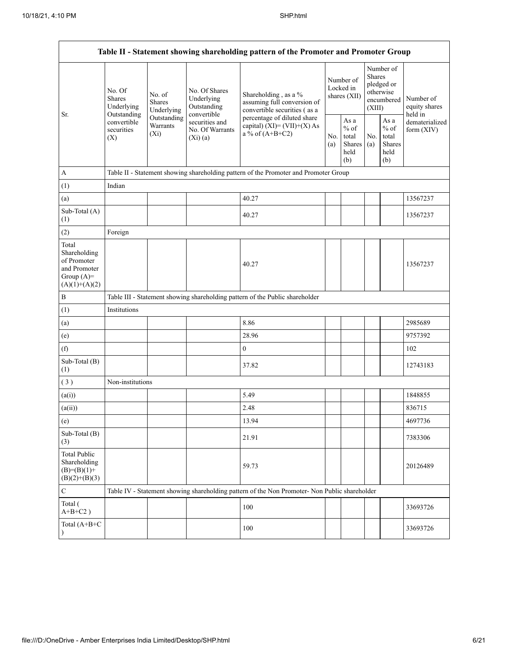|                                                                                         |                                                 |                                    |                                                           | Table II - Statement showing shareholding pattern of the Promoter and Promoter Group          |            |                                                  |                  |                                                    |                                       |  |
|-----------------------------------------------------------------------------------------|-------------------------------------------------|------------------------------------|-----------------------------------------------------------|-----------------------------------------------------------------------------------------------|------------|--------------------------------------------------|------------------|----------------------------------------------------|---------------------------------------|--|
| Sr.                                                                                     | No. Of<br>Shares<br>Underlying                  | No. of<br>Shares<br>Underlying     | No. Of Shares<br>Underlying<br>Outstanding<br>convertible | Shareholding, as a %<br>assuming full conversion of<br>convertible securities (as a           |            | Number of<br>Locked in<br>shares (XII)           | Shares<br>(XIII) | Number of<br>pledged or<br>otherwise<br>encumbered | Number of<br>equity shares<br>held in |  |
|                                                                                         | Outstanding<br>convertible<br>securities<br>(X) | Outstanding<br>Warrants<br>$(X_i)$ | securities and<br>No. Of Warrants<br>(Xi)(a)              | percentage of diluted share<br>capital) $(XI) = (VII)+(X) As$<br>a % of $(A+B+C2)$            | No.<br>(a) | As a<br>$%$ of<br>total<br>Shares<br>held<br>(b) | No.<br>(a)       | As a<br>$%$ of<br>total<br>Shares<br>held<br>(b)   | dematerialized<br>form $(XIV)$        |  |
| $\mathbf{A}$                                                                            |                                                 |                                    |                                                           | Table II - Statement showing shareholding pattern of the Promoter and Promoter Group          |            |                                                  |                  |                                                    |                                       |  |
| (1)                                                                                     | Indian                                          |                                    |                                                           |                                                                                               |            |                                                  |                  |                                                    |                                       |  |
| (a)                                                                                     |                                                 |                                    |                                                           | 40.27                                                                                         |            |                                                  |                  |                                                    | 13567237                              |  |
| Sub-Total (A)<br>(1)                                                                    |                                                 |                                    |                                                           | 40.27                                                                                         |            |                                                  |                  |                                                    | 13567237                              |  |
| (2)                                                                                     | Foreign                                         |                                    |                                                           |                                                                                               |            |                                                  |                  |                                                    |                                       |  |
| Total<br>Shareholding<br>of Promoter<br>and Promoter<br>Group $(A)=$<br>$(A)(1)+(A)(2)$ |                                                 |                                    |                                                           | 40.27                                                                                         |            |                                                  |                  |                                                    | 13567237                              |  |
| $\, {\bf B}$                                                                            |                                                 |                                    |                                                           | Table III - Statement showing shareholding pattern of the Public shareholder                  |            |                                                  |                  |                                                    |                                       |  |
| (1)                                                                                     | Institutions                                    |                                    |                                                           |                                                                                               |            |                                                  |                  |                                                    |                                       |  |
| (a)                                                                                     |                                                 |                                    |                                                           | 8.86                                                                                          |            |                                                  |                  |                                                    | 2985689                               |  |
| (e)                                                                                     |                                                 |                                    |                                                           | 28.96                                                                                         |            |                                                  |                  |                                                    | 9757392                               |  |
| (f)                                                                                     |                                                 |                                    |                                                           | $\mathbf{0}$                                                                                  |            |                                                  |                  |                                                    | 102                                   |  |
| Sub-Total (B)<br>(1)                                                                    |                                                 |                                    |                                                           | 37.82                                                                                         |            |                                                  |                  |                                                    | 12743183                              |  |
| (3)                                                                                     | Non-institutions                                |                                    |                                                           |                                                                                               |            |                                                  |                  |                                                    |                                       |  |
| (a(i))                                                                                  |                                                 |                                    |                                                           | 5.49                                                                                          |            |                                                  |                  |                                                    | 1848855                               |  |
| (a(ii))                                                                                 |                                                 |                                    |                                                           | 2.48                                                                                          |            |                                                  |                  |                                                    | 836715                                |  |
| (e)                                                                                     |                                                 |                                    |                                                           | 13.94                                                                                         |            |                                                  |                  |                                                    | 4697736                               |  |
| Sub-Total (B)<br>(3)                                                                    |                                                 |                                    |                                                           | 21.91                                                                                         |            |                                                  |                  |                                                    | 7383306                               |  |
| <b>Total Public</b><br>Shareholding<br>$(B)=(B)(1)+$<br>$(B)(2)+(B)(3)$                 |                                                 |                                    |                                                           | 59.73                                                                                         |            |                                                  |                  |                                                    | 20126489                              |  |
| $\mathbf C$                                                                             |                                                 |                                    |                                                           | Table IV - Statement showing shareholding pattern of the Non Promoter- Non Public shareholder |            |                                                  |                  |                                                    |                                       |  |
| Total (<br>$A+B+C2$ )                                                                   |                                                 |                                    |                                                           | 100                                                                                           |            |                                                  |                  |                                                    | 33693726                              |  |
| Total (A+B+C                                                                            |                                                 |                                    |                                                           | 100                                                                                           |            |                                                  |                  |                                                    | 33693726                              |  |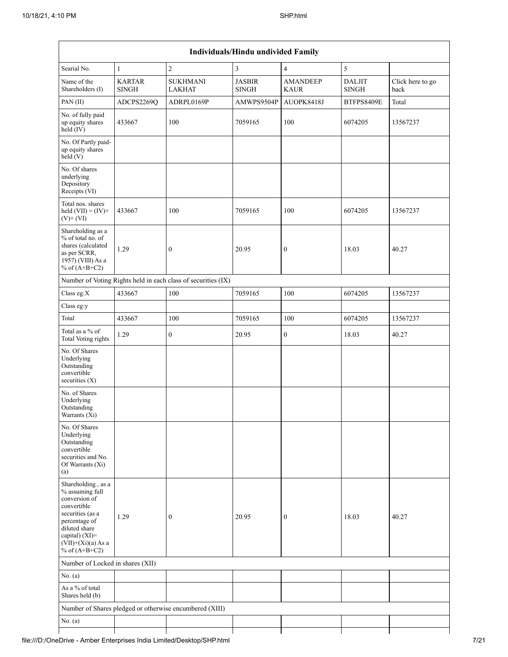|                                                                                                                                                                                             |                               |                                                               | Individuals/Hindu undivided Family |                                |                               |                          |
|---------------------------------------------------------------------------------------------------------------------------------------------------------------------------------------------|-------------------------------|---------------------------------------------------------------|------------------------------------|--------------------------------|-------------------------------|--------------------------|
| Searial No.                                                                                                                                                                                 | 1                             | $\overline{c}$                                                | 3                                  | $\overline{4}$                 | $\mathfrak s$                 |                          |
| Name of the<br>Shareholders (I)                                                                                                                                                             | <b>KARTAR</b><br><b>SINGH</b> | <b>SUKHMANI</b><br><b>LAKHAT</b>                              | <b>JASBIR</b><br><b>SINGH</b>      | <b>AMANDEEP</b><br><b>KAUR</b> | <b>DALJIT</b><br><b>SINGH</b> | Click here to go<br>back |
| PAN (II)                                                                                                                                                                                    | ADCPS2269Q                    | ADRPL0169P                                                    | AMWPS9504P                         | AUOPK8418J                     | BTFPS8409E                    | Total                    |
| No. of fully paid<br>up equity shares<br>held (IV)                                                                                                                                          | 433667                        | 100                                                           | 7059165                            | 100                            | 6074205                       | 13567237                 |
| No. Of Partly paid-<br>up equity shares<br>held (V)                                                                                                                                         |                               |                                                               |                                    |                                |                               |                          |
| No. Of shares<br>underlying<br>Depository<br>Receipts (VI)                                                                                                                                  |                               |                                                               |                                    |                                |                               |                          |
| Total nos. shares<br>held $(VII) = (IV) +$<br>$(V)$ + $(VI)$                                                                                                                                | 433667                        | 100                                                           | 7059165                            | 100                            | 6074205                       | 13567237                 |
| Shareholding as a<br>% of total no. of<br>shares (calculated<br>as per SCRR,<br>1957) (VIII) As a<br>% of $(A+B+C2)$                                                                        | 1.29                          | $\boldsymbol{0}$                                              | 20.95                              | $\boldsymbol{0}$               | 18.03                         | 40.27                    |
|                                                                                                                                                                                             |                               | Number of Voting Rights held in each class of securities (IX) |                                    |                                |                               |                          |
| Class eg:X                                                                                                                                                                                  | 433667                        | 100                                                           | 7059165                            | 100                            | 6074205                       | 13567237                 |
| Class eg:y                                                                                                                                                                                  |                               |                                                               |                                    |                                |                               |                          |
| Total                                                                                                                                                                                       | 433667                        | 100                                                           | 7059165                            | 100                            | 6074205                       | 13567237                 |
| Total as a % of<br><b>Total Voting rights</b>                                                                                                                                               | 1.29                          | $\mathbf{0}$                                                  | 20.95                              | $\boldsymbol{0}$               | 18.03                         | 40.27                    |
| No. Of Shares<br>Underlying<br>Outstanding<br>convertible<br>securities $(X)$                                                                                                               |                               |                                                               |                                    |                                |                               |                          |
| No. of Shares<br>Underlying<br>Outstanding<br>Warrants $(X_i)$                                                                                                                              |                               |                                                               |                                    |                                |                               |                          |
| No. Of Shares<br>Underlying<br>Outstanding<br>convertible<br>securities and No.<br>Of Warrants (Xi)<br>(a)                                                                                  |                               |                                                               |                                    |                                |                               |                          |
| Shareholding, as a<br>% assuming full<br>conversion of<br>convertible<br>securities (as a<br>percentage of<br>diluted share<br>capital) $(XI)$ =<br>$(VII)+(Xi)(a)$ As a<br>% of $(A+B+C2)$ | 1.29                          | $\boldsymbol{0}$                                              | 20.95                              | $\boldsymbol{0}$               | 18.03                         | 40.27                    |
| Number of Locked in shares (XII)                                                                                                                                                            |                               |                                                               |                                    |                                |                               |                          |
| No. (a)                                                                                                                                                                                     |                               |                                                               |                                    |                                |                               |                          |
| As a % of total<br>Shares held (b)                                                                                                                                                          |                               |                                                               |                                    |                                |                               |                          |
|                                                                                                                                                                                             |                               | Number of Shares pledged or otherwise encumbered (XIII)       |                                    |                                |                               |                          |
| No. (a)                                                                                                                                                                                     |                               |                                                               |                                    |                                |                               |                          |
|                                                                                                                                                                                             |                               |                                                               |                                    |                                |                               |                          |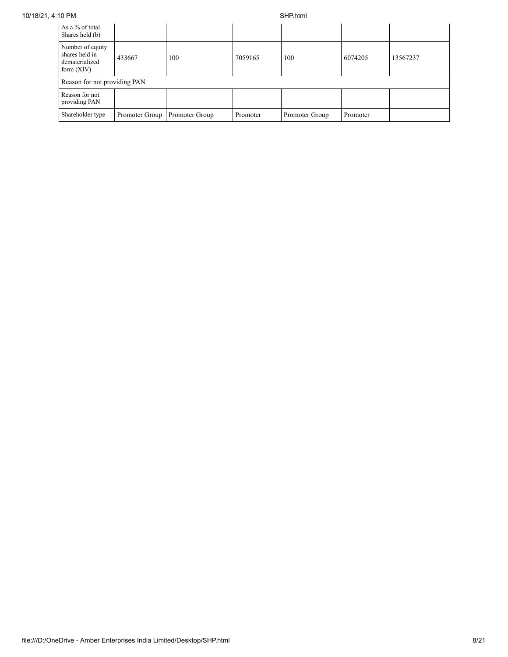| As a % of total<br>Shares held (b)                                   |                |                |          |                |          |          |
|----------------------------------------------------------------------|----------------|----------------|----------|----------------|----------|----------|
| Number of equity<br>shares held in<br>dematerialized<br>form $(XIV)$ | 433667         | 100            | 7059165  | 100            | 6074205  | 13567237 |
| Reason for not providing PAN                                         |                |                |          |                |          |          |
| Reason for not<br>providing PAN                                      |                |                |          |                |          |          |
| Shareholder type                                                     | Promoter Group | Promoter Group | Promoter | Promoter Group | Promoter |          |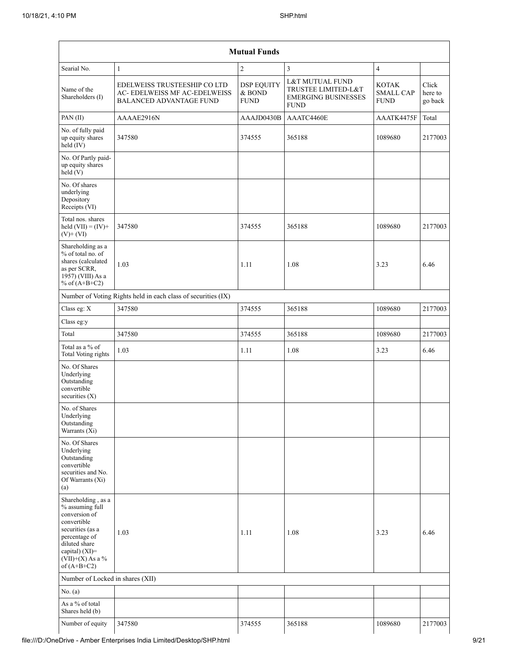|                                                                                                                                                                                         |                                                                                                 | <b>Mutual Funds</b>                        |                                                                                     |                                                 |                             |
|-----------------------------------------------------------------------------------------------------------------------------------------------------------------------------------------|-------------------------------------------------------------------------------------------------|--------------------------------------------|-------------------------------------------------------------------------------------|-------------------------------------------------|-----------------------------|
| Searial No.                                                                                                                                                                             | 1                                                                                               | $\overline{2}$                             | 3                                                                                   | $\overline{4}$                                  |                             |
| Name of the<br>Shareholders (I)                                                                                                                                                         | EDELWEISS TRUSTEESHIP CO LTD<br>AC- EDELWEISS MF AC-EDELWEISS<br><b>BALANCED ADVANTAGE FUND</b> | <b>DSP EQUITY</b><br>& BOND<br><b>FUND</b> | L&T MUTUAL FUND<br>TRUSTEE LIMITED-L&T<br><b>EMERGING BUSINESSES</b><br><b>FUND</b> | <b>KOTAK</b><br><b>SMALL CAP</b><br><b>FUND</b> | Click<br>here to<br>go back |
| PAN (II)                                                                                                                                                                                | AAAAE2916N                                                                                      | AAAJD0430B                                 | AAATC4460E                                                                          | AAATK4475F                                      | Total                       |
| No. of fully paid<br>up equity shares<br>held (IV)                                                                                                                                      | 347580                                                                                          | 374555                                     | 365188                                                                              | 1089680                                         | 2177003                     |
| No. Of Partly paid-<br>up equity shares<br>held(V)                                                                                                                                      |                                                                                                 |                                            |                                                                                     |                                                 |                             |
| No. Of shares<br>underlying<br>Depository<br>Receipts (VI)                                                                                                                              |                                                                                                 |                                            |                                                                                     |                                                 |                             |
| Total nos. shares<br>held $(VII) = (IV) +$<br>$(V)$ + $(VI)$                                                                                                                            | 347580                                                                                          | 374555                                     | 365188                                                                              | 1089680                                         | 2177003                     |
| Shareholding as a<br>% of total no. of<br>shares (calculated<br>as per SCRR,<br>1957) (VIII) As a<br>% of $(A+B+C2)$                                                                    | 1.03                                                                                            | 1.11                                       | 1.08                                                                                | 3.23                                            | 6.46                        |
|                                                                                                                                                                                         | Number of Voting Rights held in each class of securities (IX)                                   |                                            |                                                                                     |                                                 |                             |
| Class eg: X                                                                                                                                                                             | 347580                                                                                          | 374555                                     | 365188                                                                              | 1089680                                         | 2177003                     |
| Class eg:y                                                                                                                                                                              |                                                                                                 |                                            |                                                                                     |                                                 |                             |
| Total                                                                                                                                                                                   | 347580                                                                                          | 374555                                     | 365188                                                                              | 1089680                                         | 2177003                     |
| Total as a % of<br>Total Voting rights                                                                                                                                                  | 1.03                                                                                            | 1.11                                       | 1.08                                                                                | 3.23                                            | 6.46                        |
| No. Of Shares<br>Underlying<br>Outstanding<br>convertible<br>securities $(X)$                                                                                                           |                                                                                                 |                                            |                                                                                     |                                                 |                             |
| No. of Shares<br>Underlying<br>Outstanding<br>Warrants (Xi)                                                                                                                             |                                                                                                 |                                            |                                                                                     |                                                 |                             |
| No. Of Shares<br>Underlying<br>Outstanding<br>convertible<br>securities and No.<br>Of Warrants (Xi)<br>(a)                                                                              |                                                                                                 |                                            |                                                                                     |                                                 |                             |
| Shareholding, as a<br>% assuming full<br>conversion of<br>convertible<br>securities (as a<br>percentage of<br>diluted share<br>capital) $(XI)$ =<br>$(VII)+(X)$ As a %<br>of $(A+B+C2)$ | 1.03                                                                                            | 1.11                                       | 1.08                                                                                | 3.23                                            | 6.46                        |
| Number of Locked in shares (XII)                                                                                                                                                        |                                                                                                 |                                            |                                                                                     |                                                 |                             |
| No. (a)                                                                                                                                                                                 |                                                                                                 |                                            |                                                                                     |                                                 |                             |
| As a % of total<br>Shares held (b)                                                                                                                                                      |                                                                                                 |                                            |                                                                                     |                                                 |                             |
| Number of equity                                                                                                                                                                        | 347580                                                                                          | 374555                                     | 365188                                                                              | 1089680                                         | 2177003                     |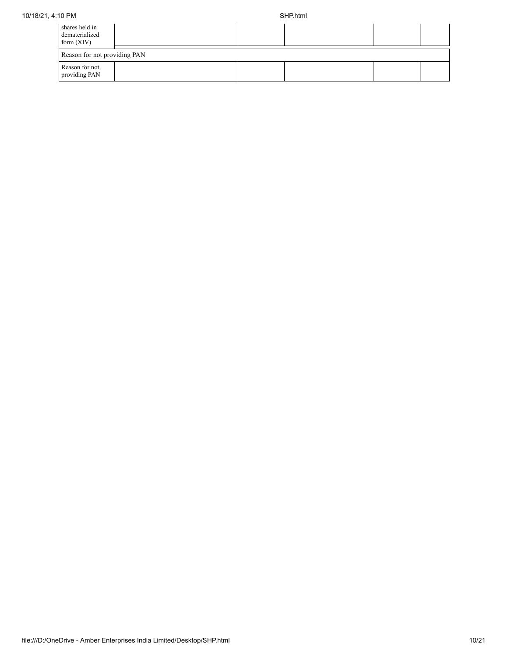| shares held in<br>dematerialized<br>form $(XIV)$ |  |  |  |
|--------------------------------------------------|--|--|--|
| Reason for not providing PAN                     |  |  |  |
| Reason for not<br>providing PAN                  |  |  |  |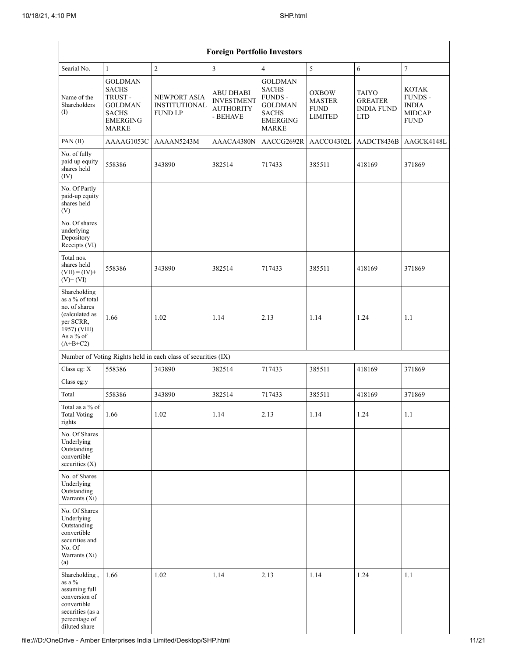|                                                                                                                                   | <b>Foreign Portfolio Investors</b>                                                                            |                                                               |                                                                       |                                                                                                                       |                                                                |                                                                   |                                                                         |  |  |  |  |  |
|-----------------------------------------------------------------------------------------------------------------------------------|---------------------------------------------------------------------------------------------------------------|---------------------------------------------------------------|-----------------------------------------------------------------------|-----------------------------------------------------------------------------------------------------------------------|----------------------------------------------------------------|-------------------------------------------------------------------|-------------------------------------------------------------------------|--|--|--|--|--|
| Searial No.                                                                                                                       | $\mathbf{1}$                                                                                                  | $\overline{2}$                                                | 3                                                                     | $\overline{4}$                                                                                                        | 5                                                              | 6                                                                 | $\boldsymbol{7}$                                                        |  |  |  |  |  |
| Name of the<br>Shareholders<br>(I)                                                                                                | <b>GOLDMAN</b><br><b>SACHS</b><br>TRUST-<br><b>GOLDMAN</b><br><b>SACHS</b><br><b>EMERGING</b><br><b>MARKE</b> | NEWPORT ASIA<br><b>INSTITUTIONAL</b><br><b>FUND LP</b>        | <b>ABU DHABI</b><br><b>INVESTMENT</b><br><b>AUTHORITY</b><br>- BEHAVE | <b>GOLDMAN</b><br><b>SACHS</b><br><b>FUNDS -</b><br><b>GOLDMAN</b><br><b>SACHS</b><br><b>EMERGING</b><br><b>MARKE</b> | <b>OXBOW</b><br><b>MASTER</b><br><b>FUND</b><br><b>LIMITED</b> | <b>TAIYO</b><br><b>GREATER</b><br><b>INDIA FUND</b><br><b>LTD</b> | <b>KOTAK</b><br>FUNDS -<br><b>INDIA</b><br><b>MIDCAP</b><br><b>FUND</b> |  |  |  |  |  |
| PAN(II)                                                                                                                           | AAAAG1053C                                                                                                    | AAAAN5243M                                                    | AAACA4380N                                                            | AACCG2692R                                                                                                            | AACCO4302L                                                     | AADCT8436B                                                        | AAGCK4148L                                                              |  |  |  |  |  |
| No. of fully<br>paid up equity<br>shares held<br>(IV)                                                                             | 558386                                                                                                        | 343890                                                        | 382514                                                                | 717433                                                                                                                | 385511                                                         | 418169                                                            | 371869                                                                  |  |  |  |  |  |
| No. Of Partly<br>paid-up equity<br>shares held<br>(V)                                                                             |                                                                                                               |                                                               |                                                                       |                                                                                                                       |                                                                |                                                                   |                                                                         |  |  |  |  |  |
| No. Of shares<br>underlying<br>Depository<br>Receipts (VI)                                                                        |                                                                                                               |                                                               |                                                                       |                                                                                                                       |                                                                |                                                                   |                                                                         |  |  |  |  |  |
| Total nos.<br>shares held<br>$(VII) = (IV) +$<br>$(V)$ + $(VI)$                                                                   | 558386                                                                                                        | 343890                                                        | 382514                                                                | 717433                                                                                                                | 385511                                                         | 418169                                                            | 371869                                                                  |  |  |  |  |  |
| Shareholding<br>as a $\%$ of total<br>no. of shares<br>(calculated as<br>per SCRR,<br>1957) (VIII)<br>As a % of<br>$(A+B+C2)$     | 1.66                                                                                                          | 1.02                                                          | 1.14                                                                  | 2.13                                                                                                                  | 1.14                                                           | 1.24                                                              | 1.1                                                                     |  |  |  |  |  |
|                                                                                                                                   |                                                                                                               | Number of Voting Rights held in each class of securities (IX) |                                                                       |                                                                                                                       |                                                                |                                                                   |                                                                         |  |  |  |  |  |
| Class eg: X                                                                                                                       | 558386                                                                                                        | 343890                                                        | 382514                                                                | 717433                                                                                                                | 385511                                                         | 418169                                                            | 371869                                                                  |  |  |  |  |  |
| Class eg:y                                                                                                                        |                                                                                                               |                                                               |                                                                       |                                                                                                                       |                                                                |                                                                   |                                                                         |  |  |  |  |  |
| Total                                                                                                                             | 558386                                                                                                        | 343890                                                        | 382514                                                                | 717433                                                                                                                | 385511                                                         | 418169                                                            | 371869                                                                  |  |  |  |  |  |
| Total as a % of<br><b>Total Voting</b><br>rights                                                                                  | 1.66                                                                                                          | $1.02\,$                                                      | 1.14                                                                  | 2.13                                                                                                                  | 1.14                                                           | 1.24                                                              | $1.1\,$                                                                 |  |  |  |  |  |
| No. Of Shares<br>Underlying<br>Outstanding<br>convertible<br>securities (X)                                                       |                                                                                                               |                                                               |                                                                       |                                                                                                                       |                                                                |                                                                   |                                                                         |  |  |  |  |  |
| No. of Shares<br>Underlying<br>Outstanding<br>Warrants (Xi)                                                                       |                                                                                                               |                                                               |                                                                       |                                                                                                                       |                                                                |                                                                   |                                                                         |  |  |  |  |  |
| No. Of Shares<br>Underlying<br>Outstanding<br>convertible<br>securities and<br>No. Of<br>Warrants (Xi)<br>(a)                     |                                                                                                               |                                                               |                                                                       |                                                                                                                       |                                                                |                                                                   |                                                                         |  |  |  |  |  |
| Shareholding,<br>as a $\%$<br>assuming full<br>conversion of<br>convertible<br>securities (as a<br>percentage of<br>diluted share | 1.66                                                                                                          | 1.02                                                          | 1.14                                                                  | 2.13                                                                                                                  | 1.14                                                           | 1.24                                                              | 1.1                                                                     |  |  |  |  |  |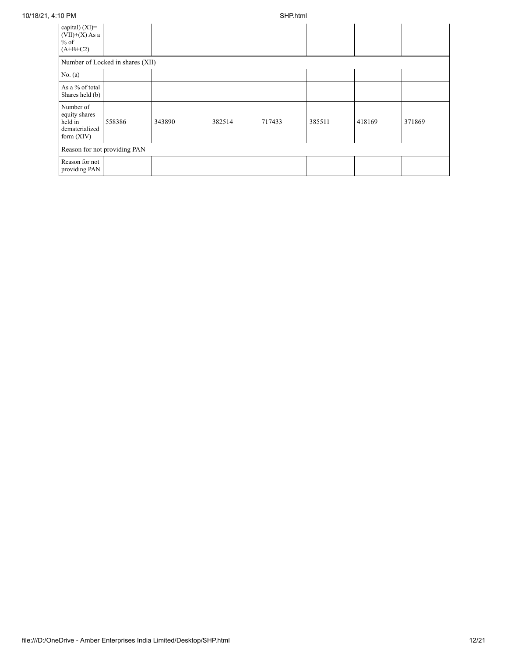| 10/18/21, 4:10 PM                                                       |                                  |        | SHP.html |        |        |        |        |  |  |
|-------------------------------------------------------------------------|----------------------------------|--------|----------|--------|--------|--------|--------|--|--|
| capital) $(XI)$ =<br>$(VII)+(X)$ As a<br>$%$ of<br>$(A+B+C2)$           |                                  |        |          |        |        |        |        |  |  |
|                                                                         | Number of Locked in shares (XII) |        |          |        |        |        |        |  |  |
| No. $(a)$                                                               |                                  |        |          |        |        |        |        |  |  |
| As a % of total<br>Shares held (b)                                      |                                  |        |          |        |        |        |        |  |  |
| Number of<br>equity shares<br>held in<br>dematerialized<br>form $(XIV)$ | 558386                           | 343890 | 382514   | 717433 | 385511 | 418169 | 371869 |  |  |
|                                                                         | Reason for not providing PAN     |        |          |        |        |        |        |  |  |
| Reason for not<br>providing PAN                                         |                                  |        |          |        |        |        |        |  |  |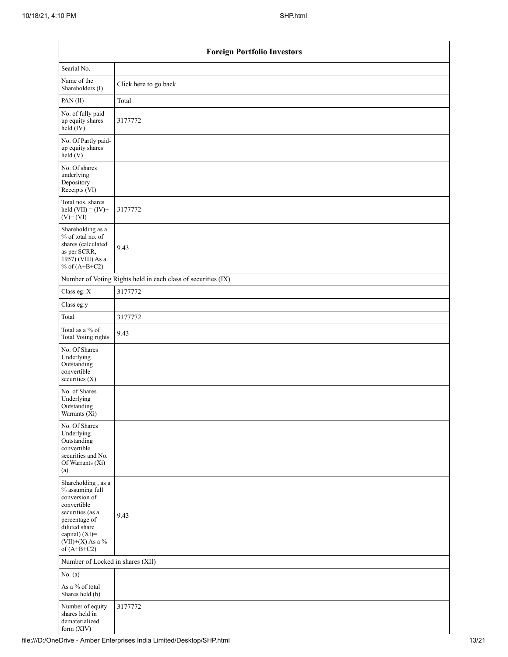| <b>Foreign Portfolio Investors</b>                                                                                                                                                   |                                                               |  |  |  |  |
|--------------------------------------------------------------------------------------------------------------------------------------------------------------------------------------|---------------------------------------------------------------|--|--|--|--|
| Searial No.                                                                                                                                                                          |                                                               |  |  |  |  |
| Name of the<br>Shareholders (I)                                                                                                                                                      | Click here to go back                                         |  |  |  |  |
| PAN(II)                                                                                                                                                                              | Total                                                         |  |  |  |  |
| No. of fully paid<br>up equity shares<br>held (IV)                                                                                                                                   | 3177772                                                       |  |  |  |  |
| No. Of Partly paid-<br>up equity shares<br>held(V)                                                                                                                                   |                                                               |  |  |  |  |
| No. Of shares<br>underlying<br>Depository<br>Receipts (VI)                                                                                                                           |                                                               |  |  |  |  |
| Total nos. shares<br>held $(VII) = (IV) +$<br>$(V)$ + $(VI)$                                                                                                                         | 3177772                                                       |  |  |  |  |
| Shareholding as a<br>% of total no. of<br>shares (calculated<br>as per SCRR,<br>1957) (VIII) As a<br>% of $(A+B+C2)$                                                                 | 9.43                                                          |  |  |  |  |
|                                                                                                                                                                                      | Number of Voting Rights held in each class of securities (IX) |  |  |  |  |
| Class eg: X                                                                                                                                                                          | 3177772                                                       |  |  |  |  |
| Class eg:y                                                                                                                                                                           |                                                               |  |  |  |  |
| Total                                                                                                                                                                                | 3177772                                                       |  |  |  |  |
| Total as a % of<br><b>Total Voting rights</b>                                                                                                                                        | 9.43                                                          |  |  |  |  |
| No. Of Shares<br>Underlying<br>Outstanding<br>convertible<br>securities $(X)$                                                                                                        |                                                               |  |  |  |  |
| No. of Shares<br>Underlying<br>Outstanding<br>Warrants (Xi)                                                                                                                          |                                                               |  |  |  |  |
| No. Of Shares<br>Underlying<br>Outstanding<br>convertible<br>securities and No.<br>Of Warrants (Xi)<br>(a)                                                                           |                                                               |  |  |  |  |
| Shareholding, as a<br>% assuming full<br>conversion of<br>convertible<br>securities (as a<br>percentage of<br>diluted share<br>capital) (XI)=<br>$(VII)+(X)$ As a %<br>of $(A+B+C2)$ | 9.43                                                          |  |  |  |  |
| Number of Locked in shares (XII)                                                                                                                                                     |                                                               |  |  |  |  |
| No. $(a)$                                                                                                                                                                            |                                                               |  |  |  |  |
| As a % of total<br>Shares held (b)                                                                                                                                                   |                                                               |  |  |  |  |
| Number of equity<br>shares held in<br>dematerialized<br>form (XIV)                                                                                                                   | 3177772                                                       |  |  |  |  |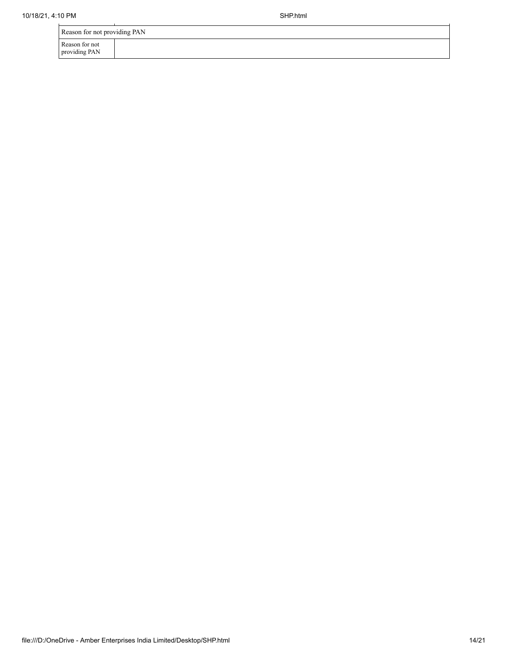| Reason for not providing PAN    |  |  |  |  |  |
|---------------------------------|--|--|--|--|--|
| Reason for not<br>providing PAN |  |  |  |  |  |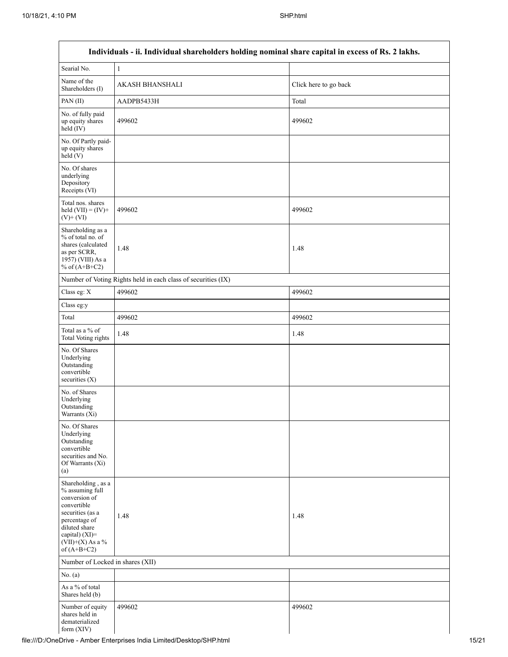|                                                                                                                                                                                      | Individuals - ii. Individual shareholders holding nominal share capital in excess of Rs. 2 lakhs. |                       |
|--------------------------------------------------------------------------------------------------------------------------------------------------------------------------------------|---------------------------------------------------------------------------------------------------|-----------------------|
| Searial No.                                                                                                                                                                          | $\,1$                                                                                             |                       |
| Name of the<br>Shareholders (I)                                                                                                                                                      | <b>AKASH BHANSHALI</b>                                                                            | Click here to go back |
| PAN(II)                                                                                                                                                                              | AADPB5433H                                                                                        | Total                 |
| No. of fully paid<br>up equity shares<br>$held$ (IV)                                                                                                                                 | 499602                                                                                            | 499602                |
| No. Of Partly paid-<br>up equity shares<br>held(V)                                                                                                                                   |                                                                                                   |                       |
| No. Of shares<br>underlying<br>Depository<br>Receipts (VI)                                                                                                                           |                                                                                                   |                       |
| Total nos. shares<br>held $(VII) = (IV) +$<br>$(V)$ + $(VI)$                                                                                                                         | 499602                                                                                            | 499602                |
| Shareholding as a<br>% of total no. of<br>shares (calculated<br>as per SCRR,<br>1957) (VIII) As a<br>% of $(A+B+C2)$                                                                 | 1.48                                                                                              | 1.48                  |
|                                                                                                                                                                                      | Number of Voting Rights held in each class of securities (IX)                                     |                       |
| Class eg: X                                                                                                                                                                          | 499602                                                                                            | 499602                |
| Class eg:y                                                                                                                                                                           |                                                                                                   |                       |
| Total                                                                                                                                                                                | 499602                                                                                            | 499602                |
| Total as a % of<br>Total Voting rights                                                                                                                                               | 1.48                                                                                              | 1.48                  |
| No. Of Shares<br>Underlying<br>Outstanding<br>convertible<br>securities (X)                                                                                                          |                                                                                                   |                       |
| No. of Shares<br>Underlying<br>Outstanding<br>Warrants $(X_i)$                                                                                                                       |                                                                                                   |                       |
| No. Of Shares<br>Underlying<br>Outstanding<br>convertible<br>securities and No.<br>Of Warrants (Xi)<br>(a)                                                                           |                                                                                                   |                       |
| Shareholding, as a<br>% assuming full<br>conversion of<br>convertible<br>securities (as a<br>percentage of<br>diluted share<br>capital) (XI)=<br>$(VII)+(X)$ As a %<br>of $(A+B+C2)$ | 1.48                                                                                              | 1.48                  |
| Number of Locked in shares (XII)                                                                                                                                                     |                                                                                                   |                       |
| No. (a)                                                                                                                                                                              |                                                                                                   |                       |
| As a % of total<br>Shares held (b)                                                                                                                                                   |                                                                                                   |                       |
| Number of equity<br>shares held in<br>dematerialized<br>form $(XIV)$                                                                                                                 | 499602                                                                                            | 499602                |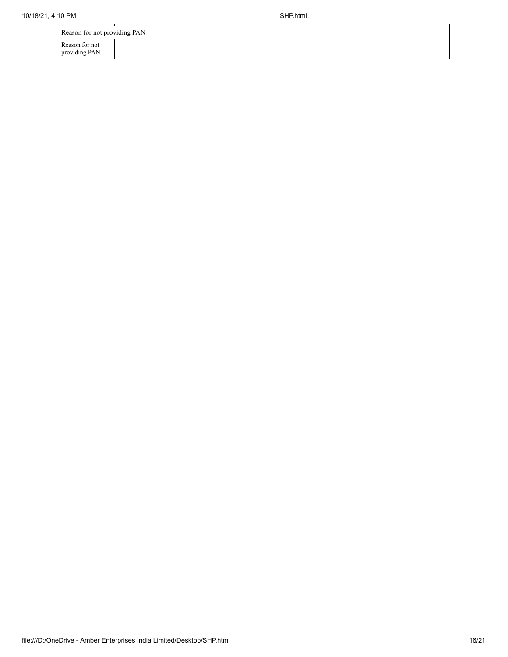| Reason for not providing PAN    |  |  |  |  |  |
|---------------------------------|--|--|--|--|--|
| Reason for not<br>providing PAN |  |  |  |  |  |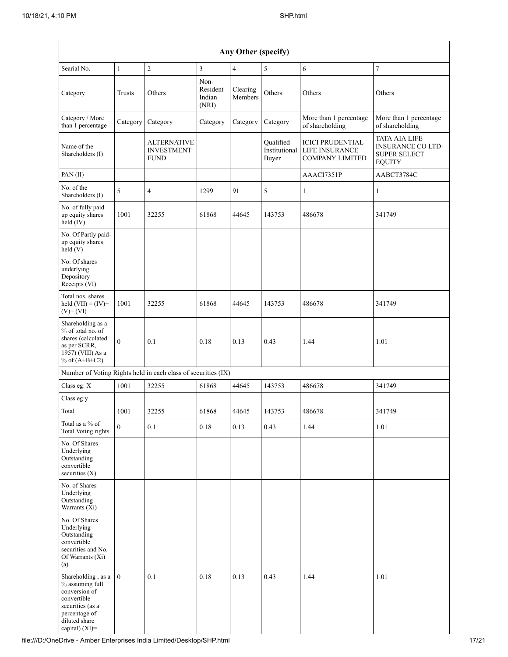|                                                                                                                                                  | Any Other (specify) |                                                 |                                     |                     |                                     |                                                                     |                                                                                          |  |
|--------------------------------------------------------------------------------------------------------------------------------------------------|---------------------|-------------------------------------------------|-------------------------------------|---------------------|-------------------------------------|---------------------------------------------------------------------|------------------------------------------------------------------------------------------|--|
| $\overline{c}$<br>$\overline{\mathbf{3}}$<br>$\sqrt{5}$<br>$\epsilon$<br>$\sqrt{ }$<br>Searial No.<br>$\mathbf{1}$<br>$\overline{4}$             |                     |                                                 |                                     |                     |                                     |                                                                     |                                                                                          |  |
| Category                                                                                                                                         | Trusts              | Others                                          | Non-<br>Resident<br>Indian<br>(NRI) | Clearing<br>Members | Others                              | Others                                                              | Others                                                                                   |  |
| Category / More<br>than 1 percentage                                                                                                             | Category            | Category                                        | Category                            | Category            | Category                            | More than 1 percentage<br>of shareholding                           | More than 1 percentage<br>of shareholding                                                |  |
| Name of the<br>Shareholders (I)                                                                                                                  |                     | ALTERNATIVE<br><b>INVESTMENT</b><br><b>FUND</b> |                                     |                     | Qualified<br>Institutional<br>Buyer | <b>ICICI PRUDENTIAL</b><br>LIFE INSURANCE<br><b>COMPANY LIMITED</b> | <b>TATA AIA LIFE</b><br><b>INSURANCE CO LTD-</b><br><b>SUPER SELECT</b><br><b>EQUITY</b> |  |
| PAN(II)                                                                                                                                          |                     |                                                 |                                     |                     |                                     | AAACI7351P                                                          | AABCT3784C                                                                               |  |
| No. of the<br>Shareholders (I)                                                                                                                   | 5                   | 4                                               | 1299                                | 91                  | 5                                   | 1                                                                   | $\mathbf{1}$                                                                             |  |
| No. of fully paid<br>up equity shares<br>held (IV)                                                                                               | 1001                | 32255                                           | 61868                               | 44645               | 143753                              | 486678                                                              | 341749                                                                                   |  |
| No. Of Partly paid-<br>up equity shares<br>held(V)                                                                                               |                     |                                                 |                                     |                     |                                     |                                                                     |                                                                                          |  |
| No. Of shares<br>underlying<br>Depository<br>Receipts (VI)                                                                                       |                     |                                                 |                                     |                     |                                     |                                                                     |                                                                                          |  |
| Total nos. shares<br>held $(VII) = (IV) +$<br>$(V)$ + $(VI)$                                                                                     | 1001                | 32255                                           | 61868                               | 44645               | 143753                              | 486678                                                              | 341749                                                                                   |  |
| Shareholding as a<br>% of total no. of<br>shares (calculated<br>as per SCRR,<br>1957) (VIII) As a<br>% of $(A+B+C2)$                             | $\theta$            | 0.1                                             | 0.18                                | 0.13                | 0.43                                | 1.44                                                                | 1.01                                                                                     |  |
| Number of Voting Rights held in each class of securities (IX)                                                                                    |                     |                                                 |                                     |                     |                                     |                                                                     |                                                                                          |  |
| Class eg: X                                                                                                                                      | 1001                | 32255                                           | 61868                               | 44645               | 143753                              | 486678                                                              | 341749                                                                                   |  |
| Class eg:y                                                                                                                                       |                     |                                                 |                                     |                     |                                     |                                                                     |                                                                                          |  |
| Total                                                                                                                                            | 1001                | 32255                                           | 61868                               | 44645               | 143753                              | 486678                                                              | 341749                                                                                   |  |
| Total as a % of<br>Total Voting rights                                                                                                           | $\theta$            | 0.1                                             | 0.18                                | 0.13                | 0.43                                | 1.44                                                                | 1.01                                                                                     |  |
| No. Of Shares<br>Underlying<br>Outstanding<br>convertible<br>securities $(X)$                                                                    |                     |                                                 |                                     |                     |                                     |                                                                     |                                                                                          |  |
| No. of Shares<br>Underlying<br>Outstanding<br>Warrants (Xi)                                                                                      |                     |                                                 |                                     |                     |                                     |                                                                     |                                                                                          |  |
| No. Of Shares<br>Underlying<br>Outstanding<br>convertible<br>securities and No.<br>Of Warrants (Xi)<br>(a)                                       |                     |                                                 |                                     |                     |                                     |                                                                     |                                                                                          |  |
| Shareholding, as a<br>% assuming full<br>conversion of<br>convertible<br>securities (as a<br>percentage of<br>diluted share<br>capital) $(XI)$ = | $\overline{0}$      | 0.1                                             | 0.18                                | 0.13                | 0.43                                | 1.44                                                                | 1.01                                                                                     |  |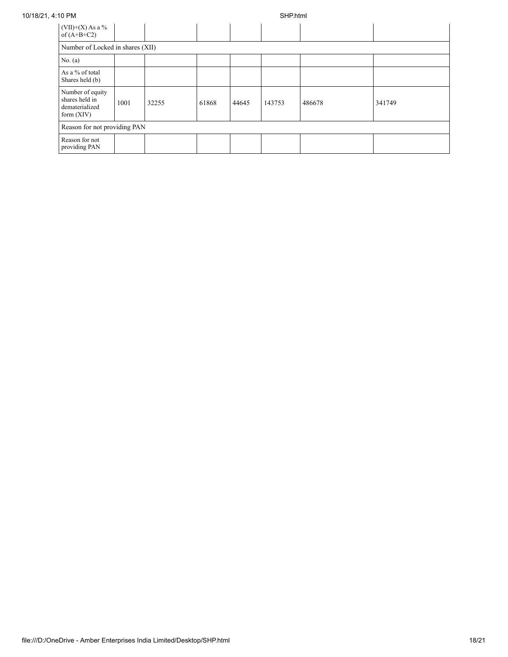| $(VII)+(X)$ As a %<br>of $(A+B+C2)$                                  |      |       |       |       |        |        |        |
|----------------------------------------------------------------------|------|-------|-------|-------|--------|--------|--------|
| Number of Locked in shares (XII)                                     |      |       |       |       |        |        |        |
| No. $(a)$                                                            |      |       |       |       |        |        |        |
| As a % of total<br>Shares held (b)                                   |      |       |       |       |        |        |        |
| Number of equity<br>shares held in<br>dematerialized<br>form $(XIV)$ | 1001 | 32255 | 61868 | 44645 | 143753 | 486678 | 341749 |
| Reason for not providing PAN                                         |      |       |       |       |        |        |        |
| Reason for not<br>providing PAN                                      |      |       |       |       |        |        |        |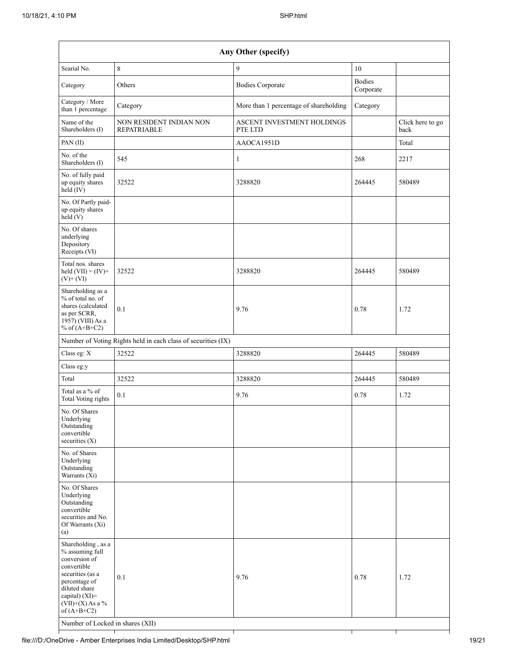| Any Other (specify)                                                                                                                                                                                                      |                                                               |                                        |                            |                          |  |  |  |
|--------------------------------------------------------------------------------------------------------------------------------------------------------------------------------------------------------------------------|---------------------------------------------------------------|----------------------------------------|----------------------------|--------------------------|--|--|--|
| $\,$ 8 $\,$<br>9<br>10<br>Searial No.                                                                                                                                                                                    |                                                               |                                        |                            |                          |  |  |  |
| Category                                                                                                                                                                                                                 | Others                                                        | <b>Bodies Corporate</b>                | <b>Bodies</b><br>Corporate |                          |  |  |  |
| Category / More<br>than 1 percentage                                                                                                                                                                                     | Category                                                      | More than 1 percentage of shareholding | Category                   |                          |  |  |  |
| Name of the<br>Shareholders (I)                                                                                                                                                                                          | NON RESIDENT INDIAN NON<br><b>REPATRIABLE</b>                 | ASCENT INVESTMENT HOLDINGS<br>PTE LTD  |                            | Click here to go<br>back |  |  |  |
| PAN (II)                                                                                                                                                                                                                 |                                                               | AAOCA1951D                             |                            | Total                    |  |  |  |
| No. of the<br>Shareholders (I)                                                                                                                                                                                           | 545                                                           | $\mathbf{1}$                           | 268                        | 2217                     |  |  |  |
| No. of fully paid<br>up equity shares<br>$\text{held} (IV)$                                                                                                                                                              | 32522                                                         | 3288820                                | 264445                     | 580489                   |  |  |  |
| No. Of Partly paid-<br>up equity shares<br>held(V)                                                                                                                                                                       |                                                               |                                        |                            |                          |  |  |  |
| No. Of shares<br>underlying<br>Depository<br>Receipts (VI)                                                                                                                                                               |                                                               |                                        |                            |                          |  |  |  |
| Total nos. shares<br>held $(VII) = (IV) +$<br>$(V)$ + $(VI)$                                                                                                                                                             | 32522                                                         | 3288820                                | 264445                     | 580489                   |  |  |  |
| Shareholding as a<br>% of total no. of<br>shares (calculated<br>as per SCRR,<br>1957) (VIII) As a<br>% of $(A+B+C2)$                                                                                                     | 0.1                                                           | 9.76                                   | 0.78                       | 1.72                     |  |  |  |
|                                                                                                                                                                                                                          | Number of Voting Rights held in each class of securities (IX) |                                        |                            |                          |  |  |  |
| Class eg: X                                                                                                                                                                                                              | 32522                                                         | 3288820                                | 264445                     | 580489                   |  |  |  |
| Class eg:y                                                                                                                                                                                                               |                                                               |                                        |                            |                          |  |  |  |
| Total                                                                                                                                                                                                                    | 32522                                                         | 3288820                                | 264445                     | 580489                   |  |  |  |
| Total as a % of<br>Total Voting rights                                                                                                                                                                                   | 0.1                                                           | 9.76                                   | 0.78                       | 1.72                     |  |  |  |
| No. Of Shares<br>Underlying<br>Outstanding<br>convertible<br>securities (X)                                                                                                                                              |                                                               |                                        |                            |                          |  |  |  |
| No. of Shares<br>Underlying<br>Outstanding<br>Warrants (Xi)                                                                                                                                                              |                                                               |                                        |                            |                          |  |  |  |
| No. Of Shares<br>Underlying<br>Outstanding<br>convertible<br>securities and No.<br>Of Warrants (Xi)<br>(a)                                                                                                               |                                                               |                                        |                            |                          |  |  |  |
| Shareholding, as a<br>% assuming full<br>conversion of<br>convertible<br>securities (as a<br>percentage of<br>diluted share<br>capital) (XI)=<br>$(VII)+(X)$ As a %<br>of $(A+B+C2)$<br>Number of Locked in shares (XII) | 0.1                                                           | 9.76                                   | 0.78                       | 1.72                     |  |  |  |

T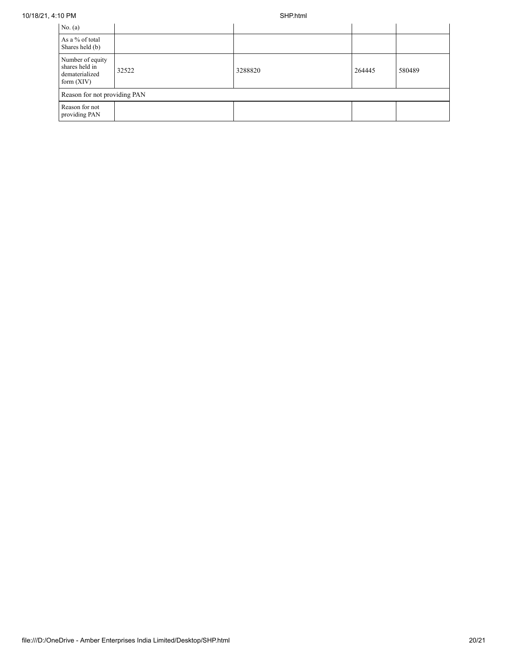| No. $(a)$                                                            |       |         |        |        |  |  |
|----------------------------------------------------------------------|-------|---------|--------|--------|--|--|
| As a % of total<br>Shares held (b)                                   |       |         |        |        |  |  |
| Number of equity<br>shares held in<br>dematerialized<br>form $(XIV)$ | 32522 | 3288820 | 264445 | 580489 |  |  |
| Reason for not providing PAN                                         |       |         |        |        |  |  |
| Reason for not<br>providing PAN                                      |       |         |        |        |  |  |